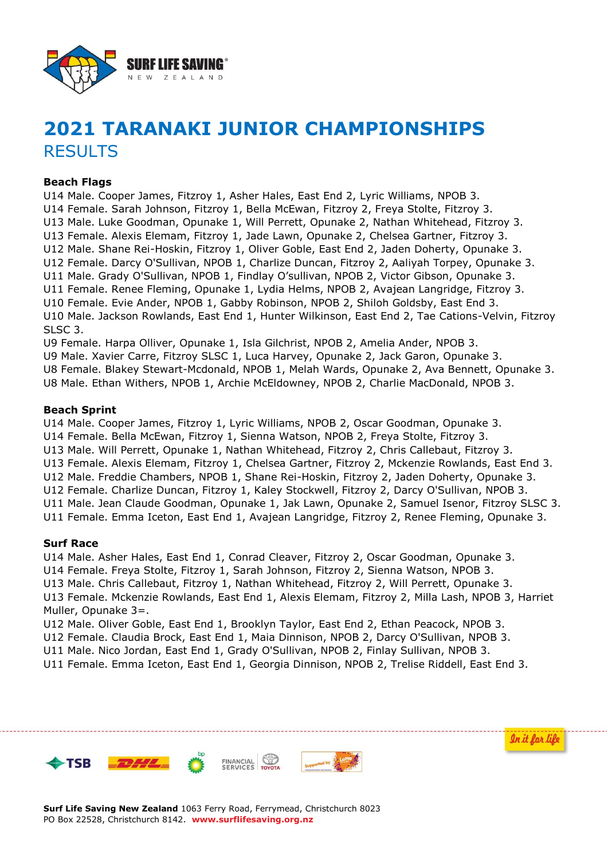

# **2021 TARANAKI JUNIOR CHAMPIONSHIPS RESULTS**

#### **Beach Flags**

U14 Male. Cooper James, Fitzroy 1, Asher Hales, East End 2, Lyric Williams, NPOB 3. U14 Female. Sarah Johnson, Fitzroy 1, Bella McEwan, Fitzroy 2, Freya Stolte, Fitzroy 3. U13 Male. Luke Goodman, Opunake 1, Will Perrett, Opunake 2, Nathan Whitehead, Fitzroy 3. U13 Female. Alexis Elemam, Fitzroy 1, Jade Lawn, Opunake 2, Chelsea Gartner, Fitzroy 3. U12 Male. Shane Rei-Hoskin, Fitzroy 1, Oliver Goble, East End 2, Jaden Doherty, Opunake 3. U12 Female. Darcy O'Sullivan, NPOB 1, Charlize Duncan, Fitzroy 2, Aaliyah Torpey, Opunake 3. U11 Male. Grady O'Sullivan, NPOB 1, Findlay O'sullivan, NPOB 2, Victor Gibson, Opunake 3. U11 Female. Renee Fleming, Opunake 1, Lydia Helms, NPOB 2, Avajean Langridge, Fitzroy 3. U10 Female. Evie Ander, NPOB 1, Gabby Robinson, NPOB 2, Shiloh Goldsby, East End 3. U10 Male. Jackson Rowlands, East End 1, Hunter Wilkinson, East End 2, Tae Cations-Velvin, Fitzroy SLSC 3.

U9 Female. Harpa Olliver, Opunake 1, Isla Gilchrist, NPOB 2, Amelia Ander, NPOB 3.

U9 Male. Xavier Carre, Fitzroy SLSC 1, Luca Harvey, Opunake 2, Jack Garon, Opunake 3.

U8 Female. Blakey Stewart-Mcdonald, NPOB 1, Melah Wards, Opunake 2, Ava Bennett, Opunake 3.

U8 Male. Ethan Withers, NPOB 1, Archie McEldowney, NPOB 2, Charlie MacDonald, NPOB 3.

#### **Beach Sprint**

U14 Male. Cooper James, Fitzroy 1, Lyric Williams, NPOB 2, Oscar Goodman, Opunake 3. U14 Female. Bella McEwan, Fitzroy 1, Sienna Watson, NPOB 2, Freya Stolte, Fitzroy 3. U13 Male. Will Perrett, Opunake 1, Nathan Whitehead, Fitzroy 2, Chris Callebaut, Fitzroy 3. U13 Female. Alexis Elemam, Fitzroy 1, Chelsea Gartner, Fitzroy 2, Mckenzie Rowlands, East End 3. U12 Male. Freddie Chambers, NPOB 1, Shane Rei-Hoskin, Fitzroy 2, Jaden Doherty, Opunake 3. U12 Female. Charlize Duncan, Fitzroy 1, Kaley Stockwell, Fitzroy 2, Darcy O'Sullivan, NPOB 3. U11 Male. Jean Claude Goodman, Opunake 1, Jak Lawn, Opunake 2, Samuel Isenor, Fitzroy SLSC 3. U11 Female. Emma Iceton, East End 1, Avajean Langridge, Fitzroy 2, Renee Fleming, Opunake 3.

#### **Surf Race**

U14 Male. Asher Hales, East End 1, Conrad Cleaver, Fitzroy 2, Oscar Goodman, Opunake 3. U14 Female. Freya Stolte, Fitzroy 1, Sarah Johnson, Fitzroy 2, Sienna Watson, NPOB 3. U13 Male. Chris Callebaut, Fitzroy 1, Nathan Whitehead, Fitzroy 2, Will Perrett, Opunake 3. U13 Female. Mckenzie Rowlands, East End 1, Alexis Elemam, Fitzroy 2, Milla Lash, NPOB 3, Harriet Muller, Opunake 3=.

U12 Male. Oliver Goble, East End 1, Brooklyn Taylor, East End 2, Ethan Peacock, NPOB 3.

U12 Female. Claudia Brock, East End 1, Maia Dinnison, NPOB 2, Darcy O'Sullivan, NPOB 3.

U11 Male. Nico Jordan, East End 1, Grady O'Sullivan, NPOB 2, Finlay Sullivan, NPOB 3.

U11 Female. Emma Iceton, East End 1, Georgia Dinnison, NPOB 2, Trelise Riddell, East End 3.

In it for life



**Surf Life Saving New Zealand** 1063 Ferry Road, Ferrymead, Christchurch 8023 PO Box 22528, Christchurch 8142. **www.surflifesaving.org.nz**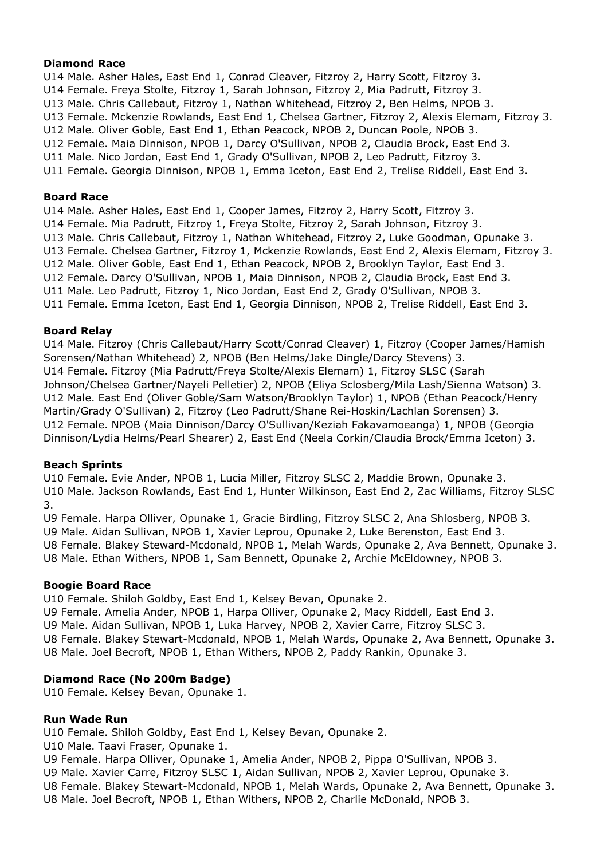# **Diamond Race**

U14 Male. Asher Hales, East End 1, Conrad Cleaver, Fitzroy 2, Harry Scott, Fitzroy 3. U14 Female. Freya Stolte, Fitzroy 1, Sarah Johnson, Fitzroy 2, Mia Padrutt, Fitzroy 3. U13 Male. Chris Callebaut, Fitzroy 1, Nathan Whitehead, Fitzroy 2, Ben Helms, NPOB 3. U13 Female. Mckenzie Rowlands, East End 1, Chelsea Gartner, Fitzroy 2, Alexis Elemam, Fitzroy 3. U12 Male. Oliver Goble, East End 1, Ethan Peacock, NPOB 2, Duncan Poole, NPOB 3. U12 Female. Maia Dinnison, NPOB 1, Darcy O'Sullivan, NPOB 2, Claudia Brock, East End 3. U11 Male. Nico Jordan, East End 1, Grady O'Sullivan, NPOB 2, Leo Padrutt, Fitzroy 3. U11 Female. Georgia Dinnison, NPOB 1, Emma Iceton, East End 2, Trelise Riddell, East End 3.

# **Board Race**

U14 Male. Asher Hales, East End 1, Cooper James, Fitzroy 2, Harry Scott, Fitzroy 3. U14 Female. Mia Padrutt, Fitzroy 1, Freya Stolte, Fitzroy 2, Sarah Johnson, Fitzroy 3. U13 Male. Chris Callebaut, Fitzroy 1, Nathan Whitehead, Fitzroy 2, Luke Goodman, Opunake 3. U13 Female. Chelsea Gartner, Fitzroy 1, Mckenzie Rowlands, East End 2, Alexis Elemam, Fitzroy 3. U12 Male. Oliver Goble, East End 1, Ethan Peacock, NPOB 2, Brooklyn Taylor, East End 3. U12 Female. Darcy O'Sullivan, NPOB 1, Maia Dinnison, NPOB 2, Claudia Brock, East End 3. U11 Male. Leo Padrutt, Fitzroy 1, Nico Jordan, East End 2, Grady O'Sullivan, NPOB 3. U11 Female. Emma Iceton, East End 1, Georgia Dinnison, NPOB 2, Trelise Riddell, East End 3.

# **Board Relay**

U14 Male. Fitzroy (Chris Callebaut/Harry Scott/Conrad Cleaver) 1, Fitzroy (Cooper James/Hamish Sorensen/Nathan Whitehead) 2, NPOB (Ben Helms/Jake Dingle/Darcy Stevens) 3. U14 Female. Fitzroy (Mia Padrutt/Freya Stolte/Alexis Elemam) 1, Fitzroy SLSC (Sarah Johnson/Chelsea Gartner/Nayeli Pelletier) 2, NPOB (Eliya Sclosberg/Mila Lash/Sienna Watson) 3. U12 Male. East End (Oliver Goble/Sam Watson/Brooklyn Taylor) 1, NPOB (Ethan Peacock/Henry Martin/Grady O'Sullivan) 2, Fitzroy (Leo Padrutt/Shane Rei-Hoskin/Lachlan Sorensen) 3. U12 Female. NPOB (Maia Dinnison/Darcy O'Sullivan/Keziah Fakavamoeanga) 1, NPOB (Georgia Dinnison/Lydia Helms/Pearl Shearer) 2, East End (Neela Corkin/Claudia Brock/Emma Iceton) 3.

# **Beach Sprints**

U10 Female. Evie Ander, NPOB 1, Lucia Miller, Fitzroy SLSC 2, Maddie Brown, Opunake 3. U10 Male. Jackson Rowlands, East End 1, Hunter Wilkinson, East End 2, Zac Williams, Fitzroy SLSC 3.

U9 Female. Harpa Olliver, Opunake 1, Gracie Birdling, Fitzroy SLSC 2, Ana Shlosberg, NPOB 3.

U9 Male. Aidan Sullivan, NPOB 1, Xavier Leprou, Opunake 2, Luke Berenston, East End 3.

U8 Female. Blakey Steward-Mcdonald, NPOB 1, Melah Wards, Opunake 2, Ava Bennett, Opunake 3.

U8 Male. Ethan Withers, NPOB 1, Sam Bennett, Opunake 2, Archie McEldowney, NPOB 3.

# **Boogie Board Race**

U10 Female. Shiloh Goldby, East End 1, Kelsey Bevan, Opunake 2.

U9 Female. Amelia Ander, NPOB 1, Harpa Olliver, Opunake 2, Macy Riddell, East End 3.

U9 Male. Aidan Sullivan, NPOB 1, Luka Harvey, NPOB 2, Xavier Carre, Fitzroy SLSC 3.

U8 Female. Blakey Stewart-Mcdonald, NPOB 1, Melah Wards, Opunake 2, Ava Bennett, Opunake 3. U8 Male. Joel Becroft, NPOB 1, Ethan Withers, NPOB 2, Paddy Rankin, Opunake 3.

# **Diamond Race (No 200m Badge)**

U10 Female. Kelsey Bevan, Opunake 1.

# **Run Wade Run**

U10 Female. Shiloh Goldby, East End 1, Kelsey Bevan, Opunake 2.

- U10 Male. Taavi Fraser, Opunake 1.
- U9 Female. Harpa Olliver, Opunake 1, Amelia Ander, NPOB 2, Pippa O'Sullivan, NPOB 3.
- U9 Male. Xavier Carre, Fitzroy SLSC 1, Aidan Sullivan, NPOB 2, Xavier Leprou, Opunake 3.
- U8 Female. Blakey Stewart-Mcdonald, NPOB 1, Melah Wards, Opunake 2, Ava Bennett, Opunake 3.
- U8 Male. Joel Becroft, NPOB 1, Ethan Withers, NPOB 2, Charlie McDonald, NPOB 3.